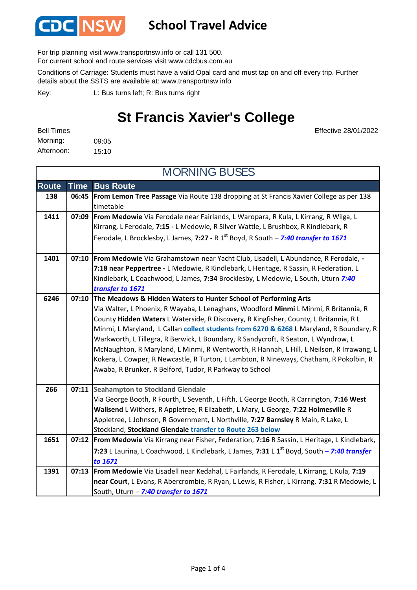

## **School Travel Advice**

For trip planning visit www.transportnsw.info or call 131 500.

For current school and route services visit www.cdcbus.com.au

Conditions of Carriage: Students must have a valid Opal card and must tap on and off every trip. Further details about the SSTS are available at: www.transportnsw.info

L: Bus turns left; R: Bus turns right Key:

## **St Francis Xavier's College**

Effective 28/01/2022

09:05 15:10 Morning: Bell Times Afternoon:

**Route Time Bus Route 138 06:45 From Lemon Tree Passage** Via Route 138 dropping at St Francis Xavier College as per 138 timetable **1411 07:09 From Medowie** Via Ferodale near Fairlands, L Waropara, R Kula, L Kirrang, R Wilga, L Kirrang, L Ferodale, **7:15 -** L Medowie, R Silver Wattle, L Brushbox, R Kindlebark, R Ferodale, L Brocklesby, L James, 7:27 - R 1<sup>st</sup> Boyd, R South – 7:40 transfer to 1671 **1401 07:10 From Medowie** Via Grahamstown near Yacht Club, Lisadell, L Abundance, R Ferodale, **- 7:18 near Peppertree -** L Medowie, R Kindlebark, L Heritage, R Sassin, R Federation, L Kindlebark, L Coachwood, L James, **7:34** Brocklesby, L Medowie, L South, Uturn *7:40 transfer to 1671* **The Meadows & Hidden Waters to Hunter School of Performing Arts** Via Walter, L Phoenix, R Wayaba, L Lenaghans, Woodford **Minmi** L Minmi, R Britannia, R County **Hidden Waters** L Waterside, R Discovery, R Kingfisher, County, L Britannia, R L Minmi, L Maryland, L Callan **collect students from 6270 & 6268** L Maryland, R Boundary, R Warkworth, L Tillegra, R Berwick, L Boundary, R Sandycroft, R Seaton, L Wyndrow, L McNaughton, R Maryland, L Minmi, R Wentworth, R Hannah, L Hill, L Neilson, R Irrawang, L Kokera, L Cowper, R Newcastle, R Turton, L Lambton, R Nineways, Chatham, R Pokolbin, R Awaba, R Brunker, R Belford, Tudor, R Parkway to School 266 **07:11** Seahampton to Stockland Glendale Via George Booth, R Fourth, L Seventh, L Fifth, L George Booth, R Carrington, **7:16 West Wallsend** L Withers, R Appletree, R Elizabeth, L Mary, L George, **7:22 Holmesville** R Appletree, L Johnson, R Government, L Northville, **7:27 Barnsley** R Main, R Lake, L Stockland, **Stockland Glendale transfer to Route 263 below 1651 07:12 From Medowie** Via Kirrang near Fisher, Federation, **7:16** R Sassin, L Heritage, L Kindlebark, **7:23** L Laurina, L Coachwood, L Kindlebark, L James, **7:31** L 1st Boyd, South – *7:40 transfer to 1671* **1391 07:13 From Medowie** Via Lisadell near Kedahal, L Fairlands, R Ferodale, L Kirrang, L Kula, **7:19 near Court**, L Evans, R Abercrombie, R Ryan, L Lewis, R Fisher, L Kirrang, **7:31** R Medowie, L South, Uturn – *7:40 transfer to 1671* MORNING BUSES **6246 07:10**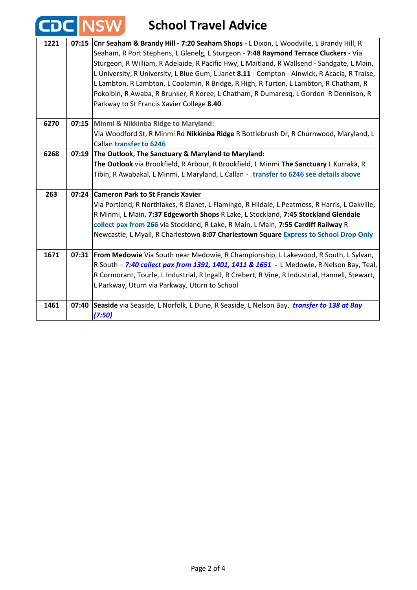|      |       | <b>CDC NSW</b><br><b>School Travel Advice</b>                                                                                                                                                                                                                                                                                                                                                                                                                                                                                                                                                              |
|------|-------|------------------------------------------------------------------------------------------------------------------------------------------------------------------------------------------------------------------------------------------------------------------------------------------------------------------------------------------------------------------------------------------------------------------------------------------------------------------------------------------------------------------------------------------------------------------------------------------------------------|
| 1221 | 07:15 | Cnr Seaham & Brandy Hill - 7:20 Seaham Shops - L Dixon, L Woodville, L Brandy Hill, R<br>Seaham, R Port Stephens, L Glenelg, L Sturgeon - 7:48 Raymond Terrace Cluckers - Via<br>Sturgeon, R William, R Adelaide, R Pacific Hwy, L Maitland, R Wallsend - Sandgate, L Main,<br>L University, R University, L Blue Gum, L Janet 8.11 - Compton - Alnwick, R Acacia, R Traise,<br>L Lambton, R Lambton, L Coolamin, R Bridge, R High, R Turton, L Lambton, R Chatham, R<br>Pokolbin, R Awaba, R Brunker, R Koree, L Chatham, R Dumaresq, L Gordon R Dennison, R<br>Parkway to St Francis Xavier College 8.40 |
| 6270 |       | 07:15 Minmi & Nikkinba Ridge to Maryland:<br>Via Woodford St, R Minmi Rd Nikkinba Ridge R Bottlebrush Dr, R Churnwood, Maryland, L<br><b>Callan transfer to 6246</b>                                                                                                                                                                                                                                                                                                                                                                                                                                       |
| 6268 |       | 07:19 The Outlook, The Sanctuary & Maryland to Maryland:<br>The Outlook via Brookfield, R Arbour, R Brookfield, L Minmi The Sanctuary L Kurraka, R<br>Tibin, R Awabakal, L Minmi, L Maryland, L Callan - transfer to 6246 see details above                                                                                                                                                                                                                                                                                                                                                                |
| 263  |       | 07:24 Cameron Park to St Francis Xavier<br>Via Portland, R Northlakes, R Elanet, L Flamingo, R Hildale, L Peatmoss, R Harris, L Oakville,<br>R Minmi, L Main, 7:37 Edgeworth Shops R Lake, L Stockland, 7:45 Stockland Glendale<br>collect pax from 266 via Stockland, R Lake, R Main, L Main, 7:55 Cardiff Railway R<br>Newcastle, L Myall, R Charlestown 8:07 Charlestown Square Express to School Drop Only                                                                                                                                                                                             |
| 1671 | 07:31 | From Medowie Via South near Medowie, R Championship, L Lakewood, R South, L Sylvan,<br>R South - 7:40 collect pax from 1391, 1401, 1411 & 1651 - L Medowie, R Nelson Bay, Teal,<br>R Cormorant, Tourle, L Industrial, R Ingall, R Crebert, R Vine, R Industrial, Hannell, Stewart,<br>L Parkway, Uturn via Parkway, Uturn to School                                                                                                                                                                                                                                                                        |
| 1461 | 07:40 | Seaside via Seaside, L Norfolk, L Dune, R Seaside, L Nelson Bay, transfer to 138 at Bay<br>(7:50)                                                                                                                                                                                                                                                                                                                                                                                                                                                                                                          |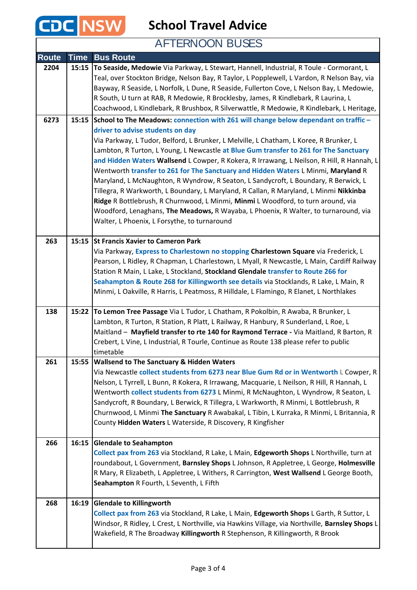

**School Travel Advice**

AFTERNOON BUSES

| <b>Route</b> | <b>Time</b> | <b>Bus Route</b>                                                                                                                              |
|--------------|-------------|-----------------------------------------------------------------------------------------------------------------------------------------------|
| 2204         | 15:15       | To Seaside, Medowie Via Parkway, L Stewart, Hannell, Industrial, R Toule - Cormorant, L                                                       |
|              |             | Teal, over Stockton Bridge, Nelson Bay, R Taylor, L Popplewell, L Vardon, R Nelson Bay, via                                                   |
|              |             | Bayway, R Seaside, L Norfolk, L Dune, R Seaside, Fullerton Cove, L Nelson Bay, L Medowie,                                                     |
|              |             | R South, U turn at RAB, R Medowie, R Brocklesby, James, R Kindlebark, R Laurina, L                                                            |
|              |             | Coachwood, L Kindlebark, R Brushbox, R Silverwattle, R Medowie, R Kindlebark, L Heritage,                                                     |
| 6273         |             | 15:15 School to The Meadows: connection with 261 will change below dependant on traffic -                                                     |
|              |             | driver to advise students on day                                                                                                              |
|              |             | Via Parkway, L Tudor, Belford, L Brunker, L Melville, L Chatham, L Koree, R Brunker, L                                                        |
|              |             | Lambton, R Turton, L Young, L Newcastle at Blue Gum transfer to 261 for The Sanctuary                                                         |
|              |             | and Hidden Waters Wallsend L Cowper, R Kokera, R Irrawang, L Neilson, R Hill, R Hannah, L                                                     |
|              |             | Wentworth transfer to 261 for The Sanctuary and Hidden Waters L Minmi, Maryland R                                                             |
|              |             | Maryland, L McNaughton, R Wyndrow, R Seaton, L Sandycroft, L Boundary, R Berwick, L                                                           |
|              |             | Tillegra, R Warkworth, L Boundary, L Maryland, R Callan, R Maryland, L Minmi Nikkinba                                                         |
|              |             | Ridge R Bottlebrush, R Churnwood, L Minmi, Minmi L Woodford, to turn around, via                                                              |
|              |             | Woodford, Lenaghans, The Meadows, R Wayaba, L Phoenix, R Walter, to turnaround, via                                                           |
|              |             | Walter, L Phoenix, L Forsythe, to turnaround                                                                                                  |
| 263          | 15:15       | <b>St Francis Xavier to Cameron Park</b>                                                                                                      |
|              |             | Via Parkway, Express to Charlestown no stopping Charlestown Square via Frederick, L                                                           |
|              |             | Pearson, L Ridley, R Chapman, L Charlestown, L Myall, R Newcastle, L Main, Cardiff Railway                                                    |
|              |             | Station R Main, L Lake, L Stockland, Stockland Glendale transfer to Route 266 for                                                             |
|              |             | Seahampton & Route 268 for Killingworth see details via Stocklands, R Lake, L Main, R                                                         |
|              |             | Minmi, L Oakville, R Harris, L Peatmoss, R Hilldale, L Flamingo, R Elanet, L Northlakes                                                       |
|              |             |                                                                                                                                               |
| 138          | 15:22       | To Lemon Tree Passage Via L Tudor, L Chatham, R Pokolbin, R Awaba, R Brunker, L                                                               |
|              |             | Lambton, R Turton, R Station, R Platt, L Railway, R Hanbury, R Sunderland, L Roe, L                                                           |
|              |             | Maitland - Mayfield transfer to rte 140 for Raymond Terrace - Via Maitland, R Barton, R                                                       |
|              |             | Crebert, L Vine, L Industrial, R Tourle, Continue as Route 138 please refer to public                                                         |
| 261          | 15:55       | timetable                                                                                                                                     |
|              |             | <b>Wallsend to The Sanctuary &amp; Hidden Waters</b><br>Via Newcastle collect students from 6273 near Blue Gum Rd or in Wentworth L Cowper, R |
|              |             | Nelson, L Tyrrell, L Bunn, R Kokera, R Irrawang, Macquarie, L Neilson, R Hill, R Hannah, L                                                    |
|              |             | Wentworth collect students from 6273 L Minmi, R McNaughton, L Wyndrow, R Seaton, L                                                            |
|              |             | Sandycroft, R Boundary, L Berwick, R Tillegra, L Warkworth, R Minmi, L Bottlebrush, R                                                         |
|              |             | Churnwood, L Minmi The Sanctuary R Awabakal, L Tibin, L Kurraka, R Minmi, L Britannia, R                                                      |
|              |             | County Hidden Waters L Waterside, R Discovery, R Kingfisher                                                                                   |
|              |             |                                                                                                                                               |
| 266          | 16:15       | <b>Glendale to Seahampton</b>                                                                                                                 |
|              |             | Collect pax from 263 via Stockland, R Lake, L Main, Edgeworth Shops L Northville, turn at                                                     |
|              |             | roundabout, L Government, Barnsley Shops L Johnson, R Appletree, L George, Holmesville                                                        |
|              |             | R Mary, R Elizabeth, L Appletree, L Withers, R Carrington, West Wallsend L George Booth,                                                      |
|              |             | Seahampton R Fourth, L Seventh, L Fifth                                                                                                       |
| 268          | 16:19       | <b>Glendale to Killingworth</b>                                                                                                               |
|              |             | Collect pax from 263 via Stockland, R Lake, L Main, Edgeworth Shops L Garth, R Suttor, L                                                      |
|              |             | Windsor, R Ridley, L Crest, L Northville, via Hawkins Village, via Northville, Barnsley Shops L                                               |
|              |             | Wakefield, R The Broadway Killingworth R Stephenson, R Killingworth, R Brook                                                                  |
|              |             |                                                                                                                                               |